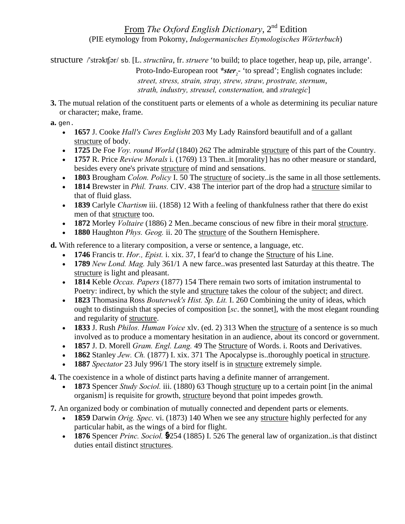### From *The Oxford English Dictionary*, 2nd Edition (PIE etymology from Pokorny, *Indogermanisches Etymologisches Wörterbuch*)

structure /'strəkʧər/ sb. [L. *structūra*, fr. *struere* 'to build; to place together, heap up, pile, arrange'. Proto-Indo-European root \*ster<sub>2</sub> 'to spread'; English cognates include: *street, stress, strain, stray, strew, straw, prostrate, sternum*, *strath, industry, streusel, consternation,* and *strategic*]

**3.** The mutual relation of the constituent parts or elements of a whole as determining its peculiar nature or character; make, frame.

#### **a.** gen.

- **1657** J. Cooke *Hall's Cures Englisht* 203 My Lady Rainsford beautifull and of a gallant structure of body.
- **1725** De Foe *Voy. round World* (1840) 262 The admirable structure of this part of the Country.
- **1757** R. Price *Review Morals* i. (1769) 13 Then..it [morality] has no other measure or standard, besides every one's private structure of mind and sensations.
- **1803** Brougham *Colon. Policy* I. 50 The structure of society..is the same in all those settlements.
- **1814** Brewster in *Phil. Trans.* CIV. 438 The interior part of the drop had a structure similar to that of fluid glass.
- **1839** Carlyle *Chartism* iii. (1858) 12 With a feeling of thankfulness rather that there do exist men of that structure too.
- **1872** Morley *Voltaire* (1886) 2 Men..became conscious of new fibre in their moral structure.
- **1880** Haughton *Phys. Geog.* ii. 20 The structure of the Southern Hemisphere.

**d.** With reference to a literary composition, a verse or sentence, a language, etc.

- **1746** Francis tr. *Hor., Epist.* i. xix. 37, I fear'd to change the Structure of his Line.
- **1789** *New Lond. Mag.* July 361/1 A new farce..was presented last Saturday at this theatre. The structure is light and pleasant.
- **1814** Keble *Occas. Papers* (1877) 154 There remain two sorts of imitation instrumental to Poetry: indirect, by which the style and structure takes the colour of the subject; and direct.
- **1823** Thomasina Ross *Bouterwek's Hist. Sp. Lit.* I. 260 Combining the unity of ideas, which ought to distinguish that species of composition [*sc*. the sonnet], with the most elegant rounding and regularity of structure.
- **1833** J. Rush *Philos. Human Voice* xlv. (ed. 2) 313 When the structure of a sentence is so much involved as to produce a momentary hesitation in an audience, about its concord or government.
- **1857** J. D. Morell *Gram. Engl. Lang.* 49 The Structure of Words. i. Roots and Derivatives.
- **1862** Stanley *Jew. Ch.* (1877) I. xix. 371 The Apocalypse is..thoroughly poetical in structure.
- **1887** *Spectator* 23 July 996/1 The story itself is in structure extremely simple.
- **4.** The coexistence in a whole of distinct parts having a definite manner of arrangement.
	- **1873** Spencer *Study Sociol.* iii. (1880) 63 Though structure up to a certain point [in the animal organism] is requisite for growth, structure beyond that point impedes growth.
- **7.** An organized body or combination of mutually connected and dependent parts or elements.
	- **1859** Darwin *Orig. Spec.* vi. (1873) 140 When we see any structure highly perfected for any particular habit, as the wings of a bird for flight.
	- **1876** Spencer *Princ. Sociol.* 5254 (1885) I. 526 The general law of organization..is that distinct duties entail distinct structures.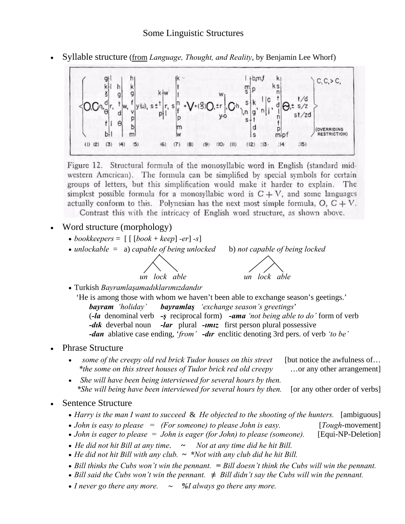

• Syllable structure (from *Language, Thought, and Reality*, by Benjamin Lee Whorf)

Figure 12. Structural formula of the monosyllabic word in English (standard midwestern American). The formula can be simplified by special symbols for certain groups of letters, but this simplification would make it harder to explain. The simplest possible formula for a monosyllabic word is  $C + V$ , and some languages actually conform to this. Polynesian has the next most simple formula,  $O, C + V$ .

Contrast this with the intricacy of English word structure, as shown above.

- Word structure (morphology)
	- *bookkeepers* =  $\lceil \lceil \lceil \frac{book + keep}{er} \rceil s \rceil$
	- *unlockable* = a) *capable of being unlocked* b) *not capable of being locked* 
		-



• Turkish *Bayramlaşamadıklarımızdandır* 

'He is among those with whom we haven't been able to exchange season's geetings.' *bayram 'holiday' bayramlaş 'exchange season's greetings*' (*-la* denominal verb *-ş* reciprocal form) *-ama 'not being able to do'* form of verb *-dık*deverbal noun *-lar*plural *-ımız* first person plural possessive *-dan* ablative case ending, '*from' -dır* enclitic denoting 3rd pers. of verb *'to be'* 

- Phrase Structure
	- *some of the creepy old red brick Tudor houses on this street* [but notice the awfulness of...  *\*the some on this street houses of Tudor brick red old creepy* …or any other arrangement]
	- • *She will have been being interviewed for several hours by then. \*She will being have been interviewed for several hours by then.* [or any other order of verbs]
- Sentence Structure
	- *Harry is the man I want to succeed & He objected to the shooting of the hunters.* [ambiguous]
	- *John is easy to please = (For someone) to please John is easy.* [*Tough-movement*]
	- *John is eager to please = John is eager (for John) to please (someone).* [Equi-NP-Deletion]
	- *He did not hit Bill at any time*. **~** *Not at any time did he hit Bill.*
	- *He did not hit Bill with any club.* **~** *\*Not with any club did he hit Bill.*
	- *Bill thinks the Cubs won't win the pennant. = Bill doesn't think the Cubs will win the pennant.*
	- *Bill said the Cubs won't win the pennant. ≠ Bill didn't say the Cubs will win the pennant.*
	- *I never go there any more. ~ %I always go there any more.*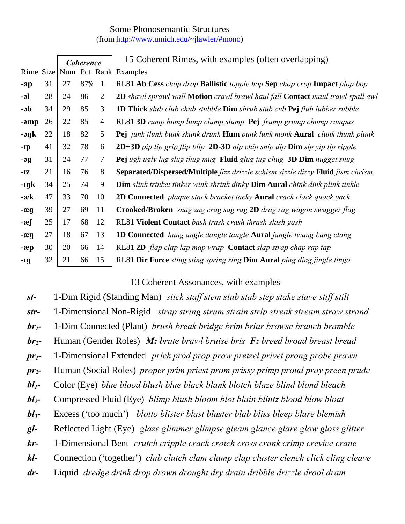## Some Phonosemantic Structures (from http://www.umich.edu/~jlawler/#mono)

|        |    | <b>Coherence</b>       |     |                | 15 Coherent Rimes, with examples (often overlapping)                                           |
|--------|----|------------------------|-----|----------------|------------------------------------------------------------------------------------------------|
|        |    | Rime Size Num Pct Rank |     |                | Examples                                                                                       |
| $-ap$  | 31 | 27                     | 87% | $\overline{1}$ | RL81 Ab Cess chop drop Ballistic topple hop Sep chop crop Impact plop bop                      |
| $-$ əl | 28 | 24                     | 86  | $\overline{2}$ | 2D shawl sprawl wall Motion crawl brawl haul fall Contact maul trawl spall awl                 |
| -əb    | 34 | 29                     | 85  | 3              | <b>1D Thick</b> slub club chub stubble <b>Dim</b> shrub stub cub <b>Pej</b> flub lubber rubble |
| -əmp   | 26 | 22                     | 85  | $\overline{4}$ | RL81 3D rump hump lump clump stump Pej frump grump chump rumpus                                |
| -əŋk   | 22 | 18                     | 82  | 5              | Pej junk flunk bunk skunk drunk Hum punk lunk monk Aural clunk thunk plunk                     |
| -Ip    | 41 | 32                     | 78  | 6              | $2D+3D$ pip lip grip flip blip $2D-3D$ nip chip snip dip Dim sip yip tip ripple                |
| -əg    | 31 | 24                     | 77  | 7              | Pej ugh ugly lug slug thug mug Fluid glug jug chug 3D Dim nugget snug                          |
| $-IZ$  | 21 | 16                     | 76  | 8              | <b>Separated/Dispersed/Multiple</b> fizz drizzle schism sizzle dizzy Fluid jism chrism         |
| -ıŋk   | 34 | 25                     | 74  | 9              | Dim slink trinket tinker wink shrink dinky Dim Aural chink dink plink tinkle                   |
| $-x$   | 47 | 33                     | 70  | 10             | <b>2D Connected</b> plaque stack bracket tacky <b>Aural</b> crack clack quack yack             |
| $-xq$  | 39 | 27                     | 69  | 11             | Crooked/Broken snag zag crag sag rag 2D drag rag wagon swagger flag                            |
| $-2$   | 25 | 17                     | 68  | 12             | RL81 Violent Contact bash trash crash thrash slash gash                                        |
| $-x$ n | 27 | 18                     | 67  | 13             | <b>1D Connected</b> hang angle dangle tangle <b>Aural</b> jangle twang bang clang              |
| $-x$   | 30 | 20                     | 66  | 14             | RL81 2D flap clap lap map wrap Contact slap strap chap rap tap                                 |
| -IŊ    | 32 | 21                     | 66  | 15             | RL81 Dir Force sling sting spring ring Dim Aural ping ding jingle lingo                        |

### 13 Coherent Assonances, with examples

*st-* 1-Dim Rigid (Standing Man) *stick staff stem stub stab step stake stave stiff stilt str-* 1-Dimensional Non-Rigid *strap string strum strain strip streak stream straw strand br1-* 1-Dim Connected (Plant) *brush break bridge brim briar browse branch bramble br2-* Human (Gender Roles) *M: brute brawl bruise bris F: breed broad breast bread pr1-* 1-Dimensional Extended *prick prod prop prow pretzel privet prong probe prawn pr2-* Human (Social Roles) *proper prim priest prom prissy primp proud pray preen prude bl1-* Color (Eye) *blue blood blush blue black blank blotch blaze blind blond bleach bl2-* Compressed Fluid (Eye) *blimp blush bloom blot blain blintz blood blow bloat bl3-* Excess ('too much') *blotto blister blast bluster blab bliss bleep blare blemish gl-* Reflected Light (Eye) *glaze glimmer glimpse gleam glance glare glow gloss glitter kr-* 1-Dimensional Bent *crutch cripple crack crotch cross crank crimp crevice crane kl-* Connection ('together') *club clutch clam clamp clap cluster clench click cling cleave dr-* Liquid *dredge drink drop drown drought dry drain dribble drizzle drool dram*